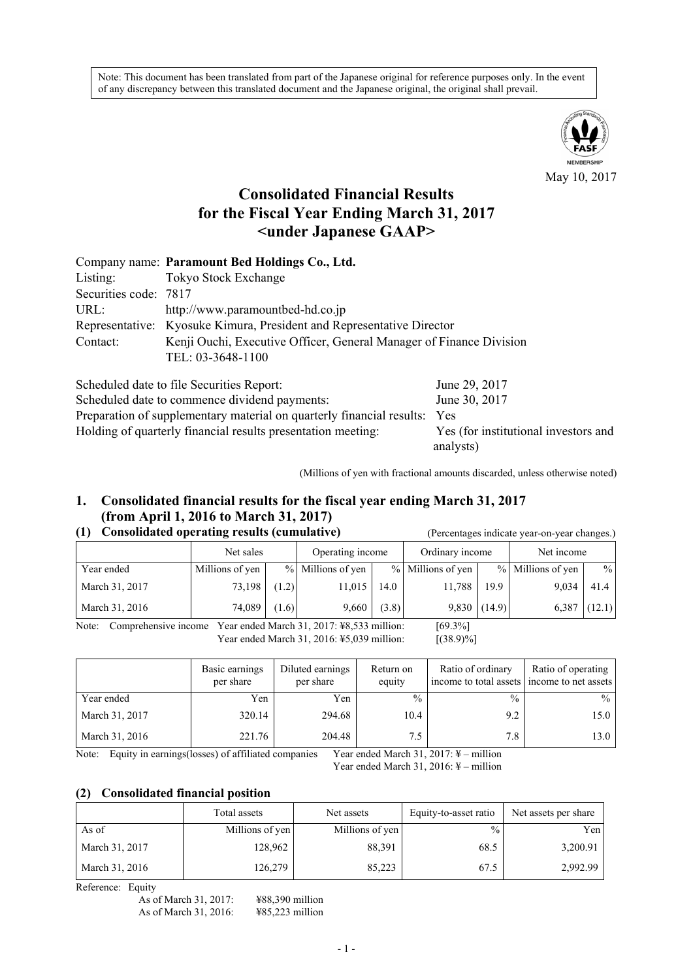Note: This document has been translated from part of the Japanese original for reference purposes only. In the event of any discrepancy between this translated document and the Japanese original, the original shall prevail.



May 10, 2017

# **Consolidated Financial Results for the Fiscal Year Ending March 31, 2017 <under Japanese GAAP>**

|                       | Company name: Paramount Bed Holdings Co., Ltd.                        |
|-----------------------|-----------------------------------------------------------------------|
| Listing:              | Tokyo Stock Exchange                                                  |
| Securities code: 7817 |                                                                       |
| URL:                  | http://www.paramountbed-hd.co.jp                                      |
|                       | Representative: Kyosuke Kimura, President and Representative Director |
| Contact:              | Kenji Ouchi, Executive Officer, General Manager of Finance Division   |
|                       | TEL: 03-3648-1100                                                     |
|                       |                                                                       |

| Scheduled date to file Securities Report:                                 | June 29, 2017                        |
|---------------------------------------------------------------------------|--------------------------------------|
| Scheduled date to commence dividend payments:                             | June 30, 2017                        |
| Preparation of supplementary material on quarterly financial results: Yes |                                      |
| Holding of quarterly financial results presentation meeting:              | Yes (for institutional investors and |
|                                                                           | analysts)                            |

(Millions of yen with fractional amounts discarded, unless otherwise noted)

# **1. Consolidated financial results for the fiscal year ending March 31, 2017 (from April 1, 2016 to March 31, 2017)**

## **(1) Consolidated operating results (cumulative)** (Percentages indicate year-on-year changes.)

|                | Operating income<br>Net sales |       | Ordinary income   |       | Net income        |                |                   |               |
|----------------|-------------------------------|-------|-------------------|-------|-------------------|----------------|-------------------|---------------|
| Year ended     | Millions of yen               |       | % Millions of yen |       | % Millions of yen |                | % Millions of yen | $\frac{0}{0}$ |
| March 31, 2017 | 73,198                        | (1.2) | 11,015            | 14.0  | 11,788            | 19.9           | 9,034             | 41.4          |
| March 31, 2016 | 74,089                        | (1.6) | 9,660             | (3.8) |                   | $9,830$ (14.9) | 6,387             | (12.1)        |

Note: Comprehensive income Year ended March 31, 2017: ¥8,533 million: [69.3%] Year ended March 31, 2016: ¥5,039 million: [(38.9)%]

|                | Basic earnings<br>per share | Diluted earnings<br>per share | Return on<br>equity | Ratio of ordinary<br>income to total assets income to net assets | Ratio of operating |
|----------------|-----------------------------|-------------------------------|---------------------|------------------------------------------------------------------|--------------------|
| Year ended     | Yen                         | Yen                           | $\frac{0}{0}$       | $\frac{0}{0}$                                                    | $\frac{0}{0}$      |
| March 31, 2017 | 320.14                      | 294.68                        | 10.4                | 9.2                                                              | 15.0               |
| March 31, 2016 | 221.76                      | 204.48                        |                     | 7.8                                                              | 13.0               |

Note: Equity in earnings(losses) of affiliated companies Year ended March 31, 2017: ¥ – million

Year ended March 31, 2016: ¥ – million

### **(2) Consolidated financial position**

|                | Total assets    | Net assets      | Equity-to-asset ratio | Net assets per share |
|----------------|-----------------|-----------------|-----------------------|----------------------|
| As of          | Millions of yen | Millions of yen | $\frac{0}{0}$         | Yen.                 |
| March 31, 2017 | 128,962         | 88.391          | 68.5                  | 3,200.91             |
| March 31, 2016 | 126,279         | 85,223          | 67.5                  | 2,992.99             |

Reference: Equity

As of March 31, 2017: ¥88,390 million<br>As of March 31, 2016: ¥85,223 million As of March 31, 2016: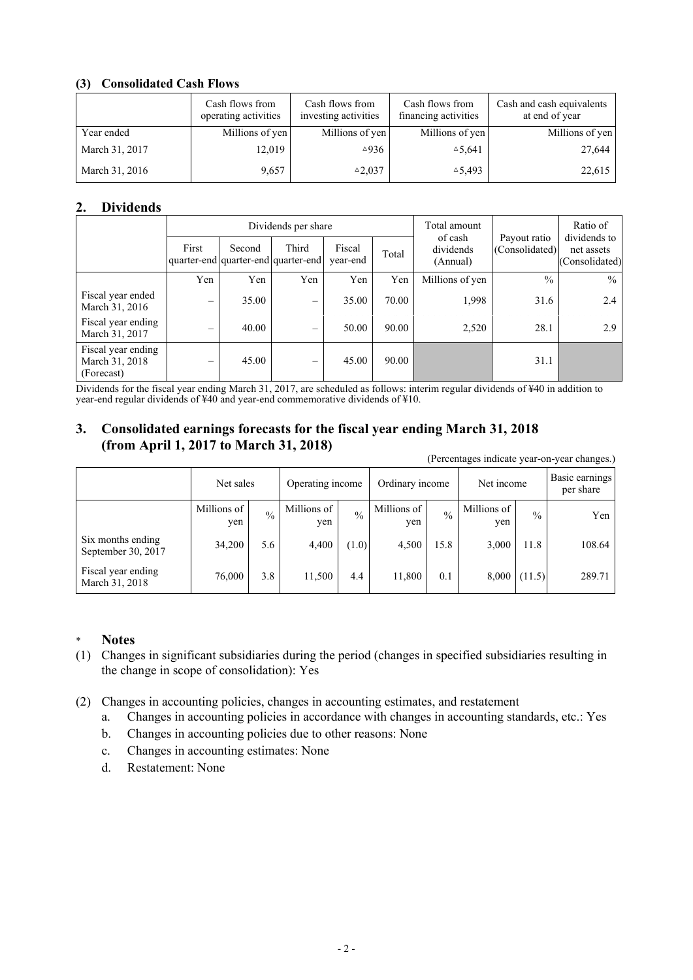### **(3) Consolidated Cash Flows**

|                | Cash flows from<br>operating activities | Cash flows from<br>investing activities | Cash flows from<br>financing activities | Cash and cash equivalents<br>at end of year |
|----------------|-----------------------------------------|-----------------------------------------|-----------------------------------------|---------------------------------------------|
| Year ended     | Millions of yen                         | Millions of yen                         | Millions of yen                         | Millions of yen                             |
| March 31, 2017 | 12,019                                  | $\triangle$ 936                         | $\triangle 5.641$                       | 27,644                                      |
| March 31, 2016 | 9,657                                   | $^{\triangle}2,037$                     | $\triangle$ 5.493                       | 22,615                                      |

### **2. Dividends**

|                                                    |                 |        | Dividends per share                          |                    | Total amount |                                  | Ratio of                       |                                              |
|----------------------------------------------------|-----------------|--------|----------------------------------------------|--------------------|--------------|----------------------------------|--------------------------------|----------------------------------------------|
|                                                    | First           | Second | Third<br>quarter-end quarter-end quarter-end | Fiscal<br>year-end | Total        | of cash<br>dividends<br>(Annual) | Payout ratio<br>(Consolidated) | dividends to<br>net assets<br>(Consolidated) |
|                                                    | Yen             | Yen    | Yen                                          | Yen                | Yen          | Millions of yen                  | $\frac{0}{0}$                  | $\%$                                         |
| Fiscal year ended<br>March 31, 2016                | $\qquad \qquad$ | 35.00  |                                              | 35.00              | 70.00        | 1,998                            | 31.6                           | $2.4^{\circ}$                                |
| Fiscal year ending<br>March 31, 2017               | $\equiv$        | 40.00  | $\overline{\phantom{a}}$                     | 50.00              | 90.00        | 2,520                            | 28.1                           | 2.9                                          |
| Fiscal year ending<br>March 31, 2018<br>(Forecast) | $\qquad \qquad$ | 45.00  | $\overline{\phantom{0}}$                     | 45.00              | 90.00        |                                  | 31.1                           |                                              |

Dividends for the fiscal year ending March 31, 2017, are scheduled as follows: interim regular dividends of ¥40 in addition to year-end regular dividends of ¥40 and year-end commemorative dividends of ¥10.

# **3. Consolidated earnings forecasts for the fiscal year ending March 31, 2018 (from April 1, 2017 to March 31, 2018)**

(Percentages indicate year-on-year changes.)

|                                         | Net sales          |               | Operating income   |               | Ordinary income    |               | Net income         |               | Basic earnings<br>per share |
|-----------------------------------------|--------------------|---------------|--------------------|---------------|--------------------|---------------|--------------------|---------------|-----------------------------|
|                                         | Millions of<br>yen | $\frac{0}{0}$ | Millions of<br>yen | $\frac{0}{0}$ | Millions of<br>yen | $\frac{0}{0}$ | Millions of<br>yen | $\frac{0}{0}$ | Yen                         |
| Six months ending<br>September 30, 2017 | 34,200             | 5.6           | 4,400              | (1.0)         | 4,500              | 15.8          | 3,000              | 11.8          | 108.64                      |
| Fiscal year ending<br>March 31, 2018    | 76,000             | 3.8           | 11,500             | 4.4           | 11,800             | 0.1           | 8,000              | (11.5)        | 289.71                      |

### \* **Notes**

- (1) Changes in significant subsidiaries during the period (changes in specified subsidiaries resulting in the change in scope of consolidation): Yes
- (2) Changes in accounting policies, changes in accounting estimates, and restatement
	- a. Changes in accounting policies in accordance with changes in accounting standards, etc.: Yes
	- b. Changes in accounting policies due to other reasons: None
	- c. Changes in accounting estimates: None
	- d. Restatement: None